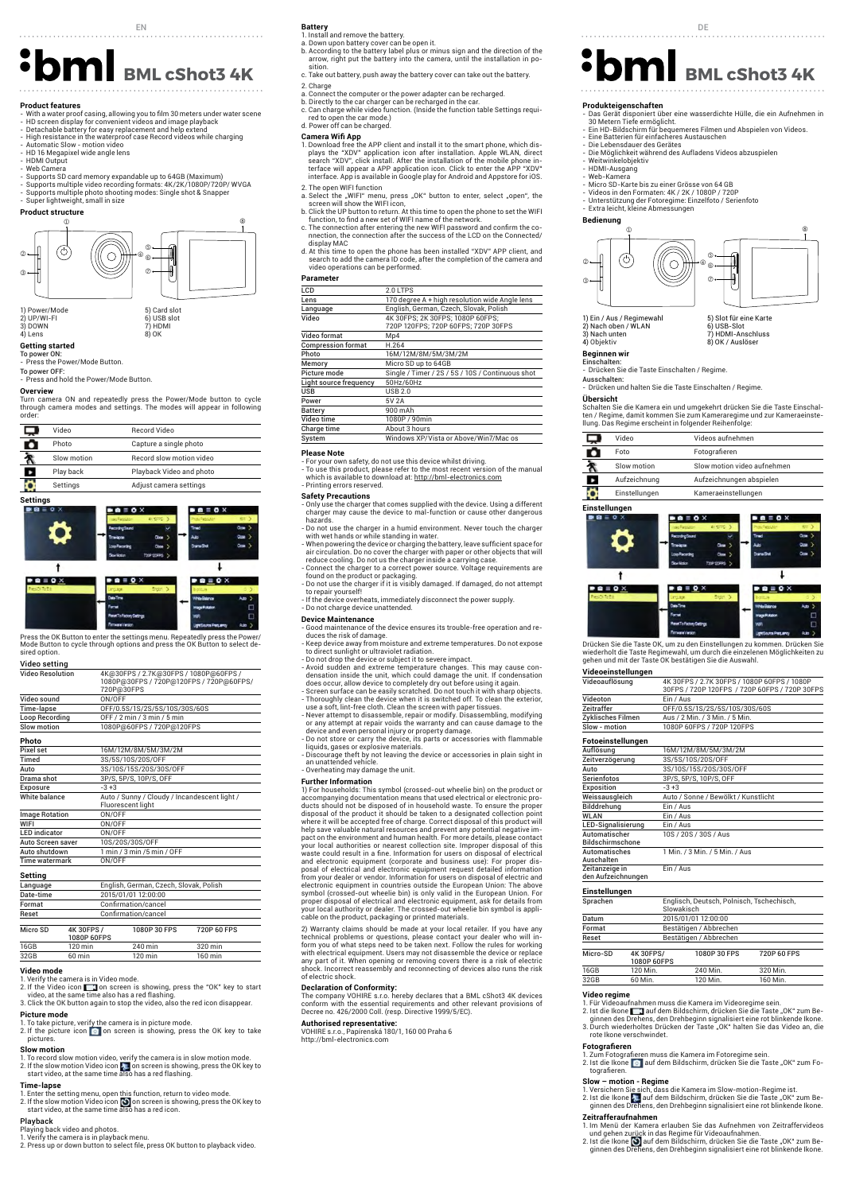- **Product features**<br>- With a water proof casing, allowing you to film 30 meters under water scene<br>- HD screen display for convenient videos and image playback<br>- Detachable battery for easy replacement and help extend<br>- High
- 
- 
- 
- HD 16 Megapixel wide angle lens HDMI Output
- 
- Web Camera Supports SD card memory expandable up to 64GB (Maximum)
- Supports multiple video recording formats: 4K/2K/1080P/720P/ WVGA Supports multiple photo shooting modes: Single shot & Snapper

- Super lightweight, small in size **Product structure**





**Getting started**<br>To power ON:<br>- Press the Power/Mode Button.

To power OFF:

- Press and hold the Power/Mode Button.

# **Overview**

Turn camera ON and repeatedly press the Power/Mode button to cycle through camera modes and settings. The modes will appear in follow order:

| Video       | <b>Record Video</b>             |
|-------------|---------------------------------|
| Photo       | Capture a single photo          |
| Slow motion | <b>Record slow motion video</b> |
| Play back   | Playback Video and photo        |
| Settings    | Adjust camera settings          |



Press the OK Button to enter the settings menu. Repeatedly press the Power/ Mode Button to cycle through options and press the OK Button to select desired option.

| Video setting           |                   |                                                                                                |
|-------------------------|-------------------|------------------------------------------------------------------------------------------------|
| <b>Video Resolution</b> |                   | 4K@30FPS / 2.7K@30FPS / 1080P@60FPS /<br>1080P@30FPS / 720P@120FPS / 720P@60FPS/<br>720P@30FPS |
| Video sound             |                   | ON/OFF                                                                                         |
| Time-lapse              |                   | OFF/0.5S/1S/2S/5S/10S/30S/60S                                                                  |
| <b>Loop Recording</b>   |                   | OFF / 2 min / 3 min / 5 min                                                                    |
| Slow motion             |                   | 1080P@60FPS / 720P@120FPS                                                                      |
| Photo                   |                   |                                                                                                |
| Pixel set               |                   | 16M/12M/8M/5M/3M/2M                                                                            |
| Timed                   |                   | 3S/5S/10S/20S/OFF                                                                              |
| Auto                    |                   | 3S/10S/15S/20S/30S/OFF                                                                         |
| Drama shot              |                   | 3P/S, 5P/S, 10P/S, OFF                                                                         |
| Exposure                |                   | $-3+3$                                                                                         |
| White halance           |                   | Auto / Sunny / Cloudy / Incandescent light /<br>Fluorescent light                              |
| <b>Image Rotation</b>   |                   | ON/OFF                                                                                         |
| WIFI                    |                   | ON/OFF                                                                                         |
| <b>LED</b> indicator    |                   | ON/OFF                                                                                         |
| Auto Screen saver       |                   | 10S/20S/30S/OFF                                                                                |
| Auto shutdown           |                   | 1 min / 3 min / 5 min / OFF                                                                    |
| <b>Time watermark</b>   |                   | ON/OFF                                                                                         |
| Setting                 |                   |                                                                                                |
| Language                |                   | English, German, Czech, Slovak, Polish                                                         |
| Date-time               |                   | 2015/01/01 12:00:00                                                                            |
| Format                  |                   | Confirmation/cancel                                                                            |
| Reset                   |                   | Confirmation/cancel                                                                            |
| Micro SD                | <b>4K 30FPS /</b> | 1080P 30 FPS<br>720P 60 FPS                                                                    |

# Micro SD 4K 30FPS / 1080P 60FPS 16GB 120 min 240 min 320 min 32GB 60 min 120 min 160 min

## **Video mode**

1. Verify the camera is in Video mode.<br>2. If the Video icon **Torm** on screen is showing, press the "OK" key to start<br>- video, at the same time also has a red flashing.<br>3. Click the OK button again to stop the video, also t

**Picture mode**<br>1. To take picture, verify the camera is in picture mode.<br>2. If the pictures icon **o**n on screen is showing, press the OK key to take<br>pictures. **Slow motion**

1. To record slow motion video, verify the camera is in slow motion mode.<br>2. If the slow motion Video icon <mark>t</mark>e on screen is showing, press the OK key to<br>start video, at the same time also has a red flashing.

**Time-lapse**<br>1. Enter the setting menu, open this function, return to video mode.<br>2. If the slow motion Video icon (O) on screen is showing, press the OK key to<br>- start video, at the same time also has a red icon.

**Playback**<br>Playing back video and photos.<br>1. Verify the camera is in playback menu.<br>2. Press up or down button to select file, press OK button to playback video.

# EN **Battery Battery Battery**

- 
- **Battery**<br>1. Install and remove the battery.<br>a. Down upon battery cover can be open it.<br>b. According to the battery label plus or minus sign and the direction of the<br>arrow, right put the battery into the camera, until the
- c. Take out battery, push away the battery cover can take out the battery. 2. Charge
- 
- 
- a. Connect the computer or the power adapter can be recharged.<br>b. Directly to the car charger can be recharged in the car.<br>c. Can charge while video function. (Inside the function table Settings requiration at all open the d. Power off can be charged.

- **Camera Wifi App** 1. Download free the APP client and install it to the smart phone, which displays the "XDV" application icon after installation. Apple WLAN, direct<br>search "XDV", click install. After the installation of the mobile phone in-<br>terface will appear a APP application icon. Click to enter the APP "XDV"<br>i 2. The open WIFI function
- 
- a. Select the "WIFI" menu, press "OK" button to enter, select "open", the<br>screen will show the WIFI icon,<br>b. Click the UP button to return. At this time to open the phone to set the WIFI<br>function, to find a new set of WIFI
- c. The connection after entering the new WIFI password and confirm the co-nnection, the connection after the success of the LCD on the Connected/
- display MAC d. At this time to open the phone has been installed "XDV" APP client, and search to add the camera ID code, after the completion of the camera and video operations can be performed.

# **Parameter**

| Parameter                 |                                                                         |  |
|---------------------------|-------------------------------------------------------------------------|--|
| LCD                       | 2.0 LTPS                                                                |  |
| Lens                      | 170 degree A + high resolution wide Angle lens                          |  |
| Language                  | English, German, Czech, Slovak, Polish                                  |  |
| Video                     | 4K 30FPS: 2K 30FPS: 1080P 60FPS:<br>720P 120FPS: 720P 60FPS: 720P 30FPS |  |
| Video format              | Mp4                                                                     |  |
| <b>Compression format</b> | H.264                                                                   |  |
| Photo                     | 16M/12M/8M/5M/3M/2M                                                     |  |
| Memory                    | Micro SD up to 64GB                                                     |  |
| Picture mode              | Single / Timer / 2S / 5S / 10S / Continuous shot                        |  |
| Light source frequency    | 50Hz/60Hz                                                               |  |
| <b>USB</b>                | <b>USB 2.0</b>                                                          |  |
| Power                     | 5V 2A                                                                   |  |
| Battery                   | 900 mAh                                                                 |  |
| Video time                | 1080P / 90min                                                           |  |
| Charge time               | About 3 hours                                                           |  |
| System                    | Windows XP/Vista or Above/Win7/Mac os                                   |  |
|                           |                                                                         |  |

### **Please Note**

- For your own safety, do not use this device whilst driving.<br>- To use this product, please refer to the most recent version of the manual<br>- which is available to download at: <u>http://bml-electronics.com</u>

- Printing errors reserved.<br> **Safety Precautions**<br> **Safety Precautions**<br> **Only use the charger that comes supplied with the device. Using a different<br>
charger may cause the device to mal-function or cause other dangerous<br>** 

- Do not use the charger if it is visibly damaged. If damaged, do not<br>to repair yourself!<br>- If the device overheats, immediately disconnect the power supply.<br>- Do not charge device unattended.

- 
- 

- 
- 

- Do not charge device unattended.<br> **Device Maintenance**<br> **Coord Maintenance**<br> **Coord maintenance**<br> **Coord Maintenance**<br> **Coord Maintenance**<br> **Coord maintenance**<br> **Coord moisture and extreme temperatures.** Do not expose<br>

**Further Information**<br>1) For households: This symbol (crossed-out wheelie bin) on the product or 1) For households: This symbol (crossed-out wheelie bin) on the product or<br>accompanying documentation means that used electrical or electronic pro-<br>ducts should not be disposed of in household waste. To ensure the proper<br>d waste could result in a fine. Information for users on disposal of electrical<br>and electronic equipment (corporate and business use): For proper dis-<br>posal of electrical and electronic equipment request detailed information electronic equipment in countries outside the European Union: The above<br>symbol (crossed-out wheelie bin) is only valid in the European Union. For<br>proper disposal of electrical and electronic equipment, ask for details from cable on the product, packaging or printed materials.

2) Warranty claims should be made at your local retailer. If you have any<br>technical problems or questions, please contact your dealer who will in-<br>form you of what steps need to be taken next. Follow the rules for working<br> of electric shock.

**Declaration of Conformity:**<br>The company VOHIRE s.r.o. hereby declares that a BML cShot3 4K devices<br>conform with the essential requirements and other relevant provisions of<br>Decree no. 426/2000 Coll. (resp. Directive 1999/5

# **Authorised representative:**

VOHIRE s.r.o., Papírenská 180/1, 160 00 Praha 6 http://bml-electronics.com

# **BML cShot3 4K** Battery, push away the battery cover can take out the battery. **<sup>S</sup>DMI** BML cShot3 4K

- **Produkteigenschaften**<br>- Das Gerät disponiert über eine wasserdichte Hülle, die ein Aufnehmen in<br>- 30 Metern Tiefe ermöglicht.<br>- Ein HD-Bildschirm für bequemeres Filmen und Abspielen von Videos.
- 
- Eine Batterien für einfacheres Austauschen<br>Die Lebensdauer des Gerätes
- Die Lebensdauer des Gerätes Die Möglichkeit während des Aufladens Videos abzuspielen Weitwinkelobjektiv
- 
- HDMI-Ausgang Web-Kamera
- 
- Micro SD-Karte bis zu einer Grösse von 64 GB Videos in den Formaten: 4K / 2K / 1080P / 720P
- Unterstützung der Fotoregime: Einzelfoto / Serienfoto Extra leicht, kleine Abmessungen



Schalten Sie die Kamera ein und umgekehrt drücken Sie die Taste Einschal-ten / Regime, damit kommen Sie zum Kameraregime und zur Kameraeinste-

Slow motion Slow motion video aufnehmen Aufzeichnung Aufzeichnungen abspielen Einstellungen Kameraeinstellungen

 $\mathbf{a} \equiv \mathbf{b} \times$ 

 $\blacksquare \blacksquare \blacksquare \blacksquare \lozenge \times$ 

Drücken Sie die Taste OK, um zu den Einstellungen zu kommen. Drücken Sie<br>wiederholt die Taste Regimewahl, um durch die einzelenen Möglichkeiten zu<br>gehen und mit der Taste OK bestätigen Sie die Auswahl.

16M/12M/8M/5M/3M/2M

10S / 20S / 30S / Aus

Ein / Aus

Sprachen Englisch, Deutsch, Polnisch, Tschechisch,

16GB 120 Min. 240 Min. 320 Min<br>32GB 60 Min. 120 Min. 160 Min

Bestätigen / Abbrechen

1. Für Videoaufnahmen muss die Kamera im Videoregime sein.<br>2. Ist die Ikone ██ ◘ auf dem Bildschirm, drücken Sie die Taste "OK" zum Be-<br>ginnen des Drehens, den Drehbeginn signalisiert eine rot blinkende Ikone.<br>3. Durch wi

1. Zum Fotografieren muss die Kamera im Fotoregime sein.<br>2. Ist die Ikone ∎a | auf dem Bildschirm, drücken Sie die Taste "OK" zum Fo-<br>⊤tografieren.

**Slow – motion - Regime**<br>1. Versichern Sie sich, dass die Kamera im Slow-motion-Regime ist.<br>2. Ist die Ikone **∤a** auf dem Bildschirm, drücken Sie die Taste "OK" zum Be∙<br>o ginnen des Drehens, den Drehbeginn signalisiert ei

1. Im Menü der Kamera erlauben Sie das Aufnehmen von Zeitraffervideos<br>und gehen zurück in das Regime für Videoaufnahmen.<br>2. Ist die Ikone <mark>(S)</mark> auf dem Bildschirm, drücken Sie die Taste "OK" zum Be-<br>ginnen des Drehens, den

1080P 30 FPS 720P 60 FPS

160 Min

1 Min. / 3 Min. / 5 Min. / Aus

Auto / Sonne / Bewölkt / Kunstlicht

30FPS / 720P 120FPS / 720P 60FPS / 720P 30FPS

 $B = 0 \times$ 

 $\mathbf{I}$ 

 $\blacksquare$   $\blacksquare$   $\blacksquare$   $\blacksquare$   $\blacksquare$ 

Videoauflösung 4K 30FPS / 2.7K 30FPS / 1080P 60FPS / 1080P

Videoton Ein / Aus Zeitraffer OFF/0.5S/1S/2S/5S/10S/30S/60S Zyklisches Filmen Aus / 2 Min. / 3 Min. / 5 Min. Slow - motion 1080P 60FPS / 720P 120FPS

 $\begin{tabular}{l l l} \multicolumn{2}{l}{{\textbf{Zeitverzögerung}}} & \multicolumn{2}{l}{3S/5S/10S/20S/0F} \\ \hline \textbf{Auto} & \multicolumn{2}{l}{3S/10S/15S/20S/3G} \\ \hline \textbf{Serienfotos} & \multicolumn{2}{l}{3P/S, 5P/S, 10P/S, C} \end{tabular}$ Auto 3S/10S/15S/20S/30S/OFF Serienfotos 3P/S, 5P/S, 10P/S, OFF

Slowakisch Datum 2015/01/01 12:00:00 Format Bestätigen / Abbrechen<br>Reset Bestätigen / Abbrechen

1080P 60FPS

1) Ein / Aus / Regi 2) Nach oben / WLAN 3) Nach unten 4) Objektiv



- 
- **Beginnen wir**<br>Einschalten:<br>- Drücken Sie die Taste Einschalten / Regime
- Ausschalten: vosschalten.<br>- Drücken und halten Sie die Taste Einschalten / Regime

llung. Das Regime erscheint in folgender Reihenfolge: Video Videos aufnehmen Foto Fotografieren

# **Übersicht**

Ŗ 유 Б Ö

**Einstellungen** 

О

 $\ddot{\phantom{1}}$ 

 $\blacksquare$   $\blacksquare$   $\blacksquare$   $\blacksquare$   $\blacksquare$   $\blacksquare$   $\blacksquare$   $\blacksquare$   $\blacksquare$   $\blacksquare$   $\blacksquare$   $\blacksquare$   $\blacksquare$   $\blacksquare$   $\blacksquare$   $\blacksquare$   $\blacksquare$   $\blacksquare$   $\blacksquare$   $\blacksquare$   $\blacksquare$   $\blacksquare$   $\blacksquare$   $\blacksquare$   $\blacksquare$   $\blacksquare$   $\blacksquare$   $\blacksquare$   $\blacksquare$   $\blacksquare$   $\blacksquare$   $\blacks$ 

**Videoeinstellungen** 

**Fotoeinstellungen** 

Automatisches Auschalten

**Einstellungen** 

**Video regime** 

Zeitanzeige in den Aufzeichnungen

Micro-SD 4K 30FPS/

rote Ikone verschwindet. **Fotografieren** 

**Zeitrafferaufnahmen** 

Exposition -3+3<br>Weissausgleich Auto

Bilddrehung Ein / Aus WLAN Ein / Aus LED-Signalisierung Ein / Aus Automatischer Bildschirmschone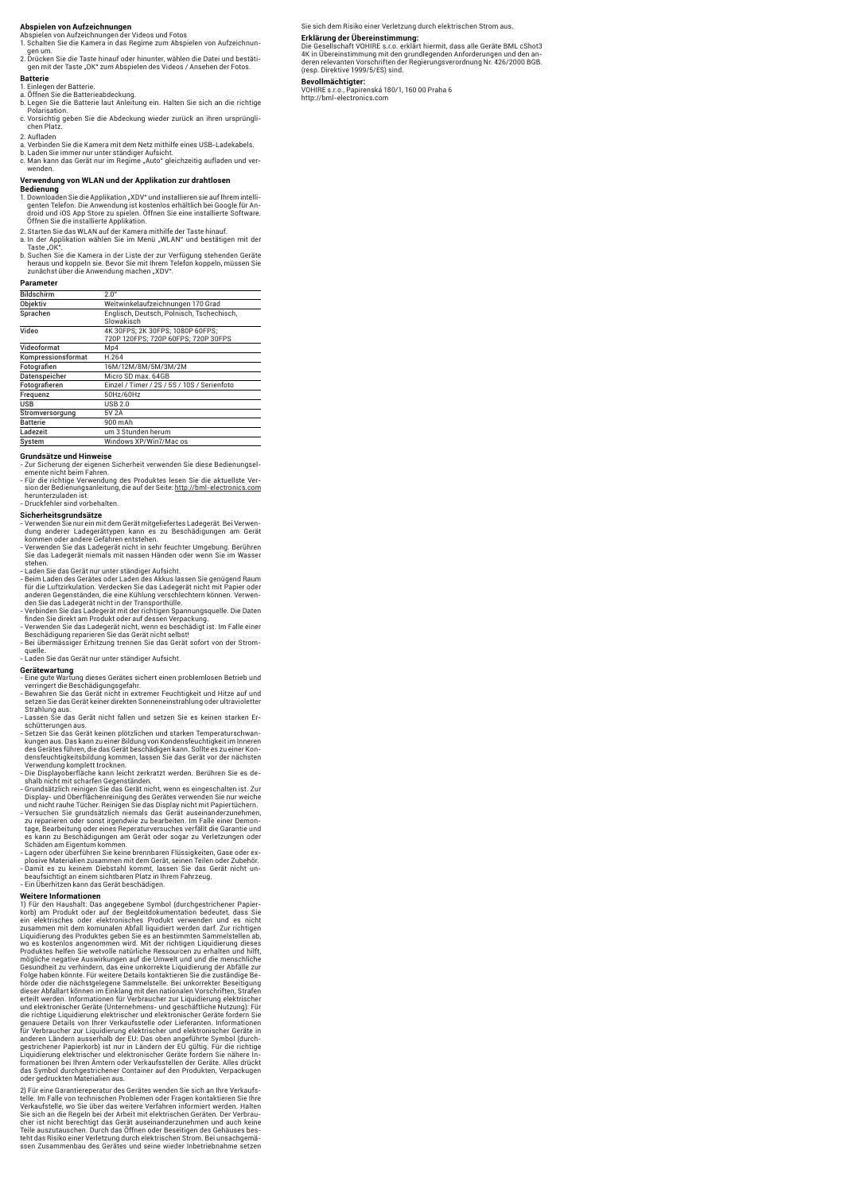**Abspielen von Aufzeichnungen**<br>Abspielen von Aufzeichnungen der Videos und Fotos<br>1. Schalten Sie die Kamera in das Regime zum Abspielen von Aufzeichnun-

gen um. 2. Drücken Sie die Taste hinauf oder hinunter, wählen die Datei und bestäti-gen mit der Taste "OK" zum Abspielen des Videos / Ansehen der Fotos.

**Batterie**<br>1 Finlegen der Batterie

- 
- 1. Einlegen der Batterie.<br>a. Öffnen Sie die Batterieabdeckung.<br>b. Legen Sie die Batterie laut Anleitung ein. Halten Sie sich an die richtige<br>– Polarisation. c. Vorsichtig geben Sie die Abdeckung wieder zurück an ihren ursprüngli-chen Platz.
- 

2. Aufladen

- a. Verbinden Sie die Kamera mit dem Netz mithilfe eines USB-Ladekabels.
- b. Laden Sie immer nur unter ständiger Aufsicht. c. Man kann das Gerät nur im Regime "Auto" gleichzeitig aufladen und verwenden.

### **Verwendung von WLAN und der Applikation zur drahtlosen**

**Bedienung**<br>1. Downloaden Sie die Applikation "XDV" und installieren sie auf Ihrem intelli-<br>1. genten Telefon. Die Anwendung ist kostenlos erhältlich bei Google für Android und iOS App Store zu spielen. Öffnen Sie eine installierte Software. Öffnen Sie die installierte Applikation.

2. Starten Sie das WLAN auf der Kamera mithilfe der Taste hinauf. a. In der Applikation wählen Sie im Menü "WLAN" und bestätigen mit der

Taste "OK".<br>b. Suchen Sie die Kamera in der Liste der zur Verfügung stehenden Geräte heraus und koppeln sie. Bevor Sie mit Ihrem Telefon koppeln, müssen Sie zunächst über die Anwendung machen "XDV".

| Parameter          |                                                                         |
|--------------------|-------------------------------------------------------------------------|
| <b>Bildschirm</b>  | 2.0"                                                                    |
| Objektiv           | Weitwinkelaufzeichnungen 170 Grad                                       |
| Sprachen           | Englisch, Deutsch, Polnisch, Tschechisch,<br>Slowakisch                 |
| Video              | 4K 30FPS: 2K 30FPS: 1080P 60FPS:<br>720P 120FPS: 720P 60FPS: 720P 30FPS |
| Videoformat        | Mp4                                                                     |
| Kompressionsformat | H.264                                                                   |
| Fotografien        | 16M/12M/8M/5M/3M/2M                                                     |
| Datenspeicher      | Micro SD max. 64GB                                                      |
| Fotografieren      | Einzel / Timer / 2S / 5S / 10S / Serienfoto                             |
| Frequenz           | 50Hz/60Hz                                                               |
| <b>USB</b>         | USB 2.0                                                                 |
| Stromversorgung    | 5V 2A                                                                   |
| <b>Batterie</b>    | 900 mAh                                                                 |
| Ladezeit           | um 3 Stunden herum                                                      |
| Svstem             | Windows XP/Win7/Mac os                                                  |

**Grundsätze und Hinweise**<br>- Zur Sicherung der eigenen Sicherheit verwenden Sie diese Bedienungsel-<br>emente nicht beim Fahren.<br>- Für die richtige Verwendung des Produktes lesen Sie die aktuellste Ver-<br>sion der Bedienungsanle

# - Herunterzulauen ist.<br>- Druckfehler sind vorbehalten.

**Sicherheitsgrundsätze**  - Verwenden Sie nur ein mit dem Gerät mitgeliefertes Ladegerät. Bei Verwendung anderer Ladegerättypen kann es zu Beschädigungen am Gerät kommen oder andere Gefahren entstehen.

- Verwenden Sie das Ladegerät nicht in sehr feuchter Umgebung. Berühren Sie das Ladegerät niemals mit nassen Händen oder wenn Sie im Wasser stehen.<br>Stehen.<br>Laden Sie das Gerät nur unter ständiger Aufsicht.
- 
- Laden Sie das Gerät nur unter ständiger Aufsicht.<br>- Laden Sie das Gerätes oder Laden des Akkus lassen Sie genügend Raum<br>für die Luftzirkulation. Verdecken Sie das Ladegerät nicht mit Papier oder<br>anderen Gegenständen, die
- 
- Beschädigung reparieren Sie das Gerät nicht selbst! Bei übermässiger Erhitzung trennen Sie das Gerät sofort von der Strom-

quelle. - Laden Sie das Gerät nur unter ständiger Aufsicht.

**Gerätewartung**  - Eine gute Wartung dieses Gerätes sichert einen problemlosen Betrieb und verringert die Beschädigungsgefahr. - Bewahren Sie das Gerät nicht in extremer Feuchtigkeit und Hitze auf und setzen Sie das Gerät keiner direkten Sonneneinstrahlung oder ultravioletter

Strahlung aus. - Lassen Sie das Gerät nicht fallen und setzen Sie es keinen starken Er-

schütterungen aus. - Setzen Sie das Gerät keinen plötzlichen und starken Temperaturschwan-

kungen aus. Das kann zu einer Bildung von Kondensfeuchtigkeit im Inneren<br>des Gerätes führen, die das Gerät beschädigen kann. Sollte es zu einer Kondensfeuchtigkeitsbildung kommen, lassen Sie das Gerät vor der nächsten<br>Verw

shalb nicht mit scharfen Gegenständen. - Grundsätzlich reinigen Sie das Gerät nicht, wenn es eingeschalten ist. Zur

Display- und Oberflächenreinigung des Gerätes verwenden Sie nur weiche<br>und nicht rauhe Tücher. Reinigen Sie das Display nicht mit Papiertüchern.<br>- Versuchen Sie grundsätzlich niemals das Gerät auseinanderzunehmen.<br>- zu rep tage, Bearbeitung oder eines Reperaturversuches verfällt die Garantie und es kann zu Beschädigungen am Gerät oder sogar zu Verletzungen oder Schäden am Eigentum kommen. - Lagern oder überführen Sie keine brennbaren Flüssigkeiten, Gase oder ex-

plosive Materialien zusammen mit dem Gerät, seinen Teilen oder Zubehör.<br>- Damit es zu keinem Diebstahl kommt, lassen Sie das Gerät nicht un-<br>- beaufsichtigt an einem sichtbaren Platz in Ihrem Fahrzeug.<br>- Ein Überhitzen kan

Weitere Informationen<br>1) Für den Haushalt: Das angegebene Symbol (durchgestrichener Papier-<br>Korb) am Produkt oder auf der Begleitdokumentation bedeutet, dass Sie<br>ein elektrisches oder elektronisches Produkt verwenden und e wo es kostenlos angenommen wird. Mit der richtigen Liquidierung dieses Produktes helfen Sie wetvolle natürliche Ressourcen zu erhalten und hilft, mögliche negative Auswirkungen auf die Umwelt und und die menschliche Gesundheit zu verhindern, das eine unkorrekte Liquidierung der Abfälle zur Folge haben könnte. Für weitere Details kontaktieren Sie die zuständige Be-<br>hörde oder die nächstgelegene Sammelstelle. Bei unkorrekter Beseitigung<br>dieser Abfallart können im Einklang mit den nationalen Vorschriften, Straf und elektronischer Geräte (Unternehmens- und geschäftliche Nutzung): Für die richtige Liquidierung elektrischer und elektronischer Geräte fordern Sie genauere Details von Ihrer Verkaufsstelle oder Lieferanten. Informationen für Verbraucher zur Liquidierung elektrischer und elektronischer Geräte in anderen Ländern ausserhalb der EU: Das oben angeführte Symbol (durch-<br>gestrichener Papierkorb) ist nur in Ländern der EU gültig. Für die richtige<br>Liquidierung elektrischer und elektronischer Geräte fordern Sie nähere In-<br>f

2) Für eine Garantiereperatur des Gerätes wenden Sie sich an Ihre Verkaufstelle. Im Falle von technischen Problemen oder Fragen kontaktieren Sie Ihre<br>Verkaufstelle, wo Sie über das weitere Verfahren informiert werden. Halten<br>Sie sich an die Regeln bei der Arbeit mit elektrischen Geräten. Der Ver teht das Risiko einer Verletzung durch elektrischen Strom. Bei unsachgemä-ssen Zusammenbau des Gerätes und seine wieder Inbetriebnahme setzen Sie sich dem Risiko einer Verletzung durch elektrischen Strom aus.

**Erklärung der Ubereinstimmung:**<br>Die Gesellschaft VOHIRE s.r.o. erklärt hiermit, dass alle Geräte BML cShot3 4K in Übereinstimmung mit den grundlegenden Anforderungen und den an-deren relevanten Vorschriften der Regierungsverordnung Nr. 426/2000 BGB. (resp. Direktive 1999/5/ES) sind.

**Bevollmächtigter:**<br>VOHIRE s.r.o., Papírenská 180/1, 160 00 Praha 6<br>http://bml-electronics.com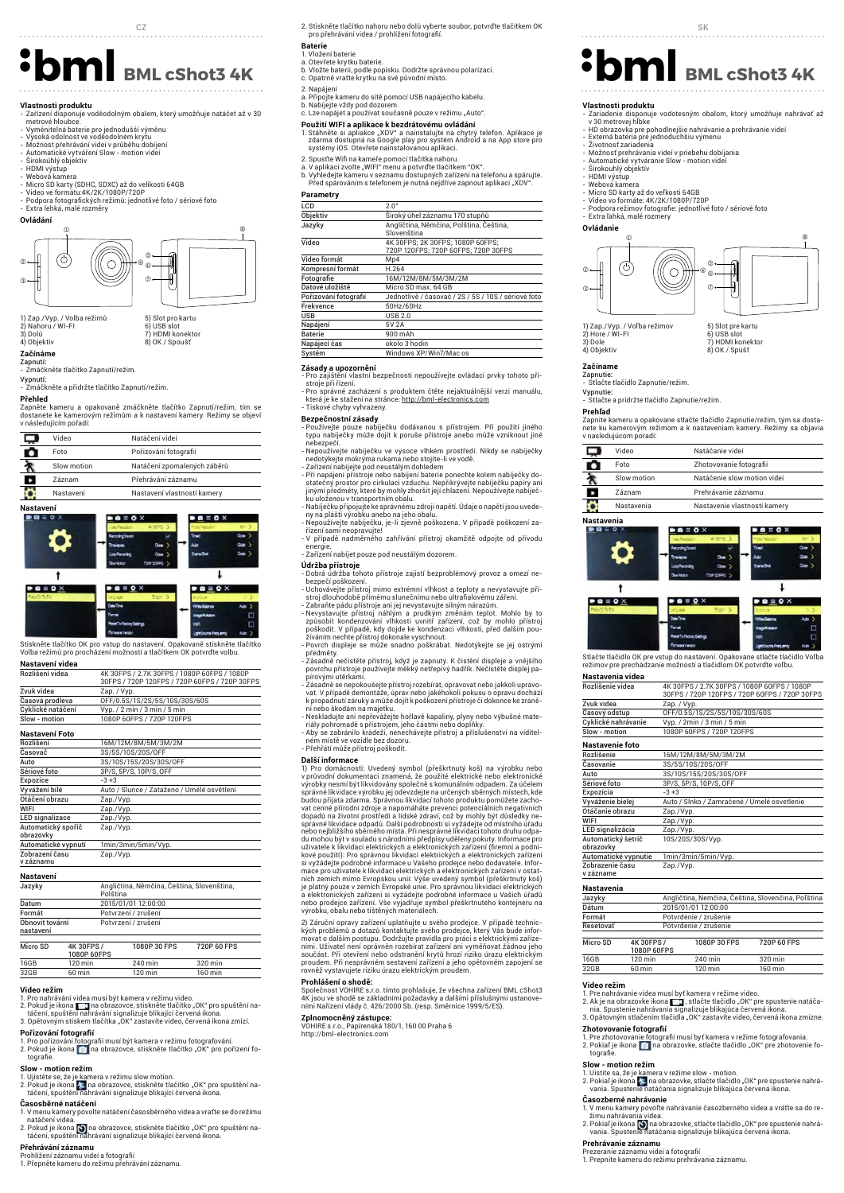**Vlastnosti produktu**<br>- Zařízení disponuje voděodolným obalem, který umožňuje natáčet až v 30<br>- metrové hloubce.<br>- Vyměnitelná baterie pro jednodušší výměnu

- 
- 
- Vysoká odolnost ve voděodolném krytu Možnost přehrávání videí v průběhu dobíjení Automatické vytváření Slow motion videí Širokoúhlý objektiv
- 
- HDMI výstup Webová kamera
- 
- Micro SD karty (SDHC, SDXC) až do velikosti 64GB Video ve formátu:4K/2K/1080P/720P

- Podpora fotografických režimů: jednotlivé foto / sériové foto - Extra lehká, malé rozměry



1) Zap./Vyp. / Volba režimů 2) Nahoru / WI-FI 3) Dolů 4) Objektiv

5) Slot pro kartu 6) USB slot 7) HDMI konektor 8) OK / Spoušť

# **Začínáme**

# Zapnutí: - Zmáčkněte tlačítko Zapnutí/režim.

Vypnutí: - Zmáčkněte a přidržte tlačítko Zapnutí/režim.

**Přehled**<br>Zapněte kameru a opakovaně zmáčkněte tlačítko Zapnutí/režim, tím se<br>dostanete ke kamerovým režimům a k nastavení kamery. Režimy se objeví<br>v následujícím pořadí:

|               | <b>THUSICARDIAN POIGNI.</b> |  |  |
|---------------|-----------------------------|--|--|
| Video         | Natáčení videí              |  |  |
| Foto          | Pořizování fotografií       |  |  |
| Slow motion   | Natáčení zpomalených záběrů |  |  |
| <b>Záznam</b> | Přehrávání záznamu          |  |  |
| Nastavení     | Nastavení vlastností kamery |  |  |
|               |                             |  |  |

**Nastavení**  $\overline{\mathbf{1}}$  $\mathbf{a} \equiv \mathbf{0} \times$  $\mathbf{a} \equiv \mathbf{0}$  >

Stiskněte tlačítko OK pro vstup do nastavení. Opakovaně stiskněte tlačítko Volba režimů pro procházení možností a tlačítkem OK potvrďte volbu.

| Nastavení videa   |                                                                                              |
|-------------------|----------------------------------------------------------------------------------------------|
| Rozlišení videa   | 4K 30FPS / 2.7K 30FPS / 1080P 60FPS / 1080P<br>30FPS / 720P 120FPS / 720P 60FPS / 720P 30FPS |
| Zvuk videa        | Zap. / Vyp.                                                                                  |
| Časová prodleva   | OFF/0.5S/1S/2S/5S/10S/30S/60S                                                                |
| Cyklické natáčení | $Vyp.$ / 2 min / 3 min / 5 min                                                               |
| Slow - motion     | 1080P 60FPS / 720P 120FPS                                                                    |
| Nastavení Foto    |                                                                                              |
| Rozlišení         | 16M/12M/8M/5M/3M/2M                                                                          |
|                   | -- --- --- - -- - - - - -                                                                    |

| Nastavení           |                                            |
|---------------------|--------------------------------------------|
|                     |                                            |
| v záznamu           |                                            |
| Zobrazení času      | Zap./Vyp.                                  |
| Automatické vypnutí | 1min/3min/5min/Vyp.                        |
| obrazovky           |                                            |
| Automatický spořič  | Zap./Vyp.                                  |
| LED signalizace     | Zap./Vyp.                                  |
| WIFI                | Zap./Vyp.                                  |
| Otáčení obrazu      | Zap./Vyp.                                  |
| Vyvážení bílé       | Auto / Slunce / Zataženo / Umělé osvětlení |
| Expozice            | $-3+3$                                     |
| Sériové foto        | 3P/S, 5P/S, 10P/S, OFF                     |
| Auto                | 3S/10S/15S/20S/30S/OFF                     |
| Casovač             | 3S/5S/10S/20S/OFF                          |

| Jazyky | Angličtina, Němčina, Čeština, Slovenština,<br>Polština |
|--------|--------------------------------------------------------|
| Datum  | 2015/01/01 12:00:00                                    |
| Formát | Potvrzení / zrušení                                    |

| Obnovit tovární<br>nastavení |                           | Potvrzení / zrušení |             |  |
|------------------------------|---------------------------|---------------------|-------------|--|
| Micro SD                     | 4K 30FPS /<br>1080P 60FPS | 1080P 30 FPS        | 720P 60 FPS |  |

| ١O     | min            |
|--------|----------------|
| 32GR   | 32D.           |
| 60 min | าเท            |
|        | 160 min<br>min |

**Video režím**<br>1. Pro nahrávání vídea musí být kamera v režimu video.<br>2. Pokud je ikona ██ | na obrazovce, stiskněte tlačítko "OK" pro spuštění na-<br>+ táčení, spuštění nahrávání signalizuje blikající červená ikona.<br>3. Opěto

# **Pořizování fotografií**

1. Pro pořizování fotografií musí být kamera v režimu fotografování.<br>2. Pokud je ikona na prina obrazovce, stiskněte tlačítko "OK" pro pořízení fotografie.

**Slow - motion režim**<br>1. Ujistěte se, že je kamera v režimu slow motion.<br>2. Pokud je ikona **† n**a obrazovce, stiskněte tlačítko "OK" pro spuštění na-<br>- táčení, spuštění nahrávání signalizuje blikající červená ikona. **Časosběrné natáčení**

- 1. V menu kamery povolte natáčení časosběrného videa a vraťte se do režimu<br>natáčení videa.<br>2. Pokud je ikona █ na obrazovce, stiskněte tlačítko "OK" pro spuštění na-<br>táčení, spuštění nahrávání signalizuje blikající červen
- 

**Přehrávání záznamu**<br>Prohlížení záznamu videí a fotografií<br>1. Přepněte kameru do režimu přehrávání záznamu.

- 2. Stiskněte tlačítko nahoru nebo dolů vyberte soubor, potvrďte tlačítkem OK pro přehrávání videa / prohlížení fotografií. CZ SK
	-

- **Bateri**e<br>1. Vložení baterie<br>a. Otevřete krytku baterie.<br>b. Vložte baterii, podle popisku. Dodržte správnou polarizaci.<br>c. Opatrně vraťte krytku na své původní místo.
- 2. Napájení
- 
- a. Připojte kameru do sítě pomocí USB napájecího kabelu. b. Nabíjejte vždy pod dozorem. c. Lze napájet a používat současně pouze v režimu "Auto".
- 

**Použití WIFI a aplikace k bezdrátovému ovládání**<br>1. Stáhměte si apliakce "XDV" a nainstalujte na chytrý telefon. Aplikace je<br>zdarma dostupná na Google play pro systém Android a na App store pro<br>systémy iOS. Otevřete nains

- 
- 2. Spusťte Wifi na kameře pomocí tlačítka nahoru.<br>a. V aplikaci zvolte "WIFI" menu a potvrďte tlačítkem "OK".<br>b. Vyhledejte kameru v seznamu dostupných zařízení na telefonu a spárujte. .<br>rtelefonu a spárujte<br>ut aplikaci "XDV".

|                       | p. + ynicacjic Kanicia + ocznania dostapnych zanizem na telefona a oparajte.<br>Před spárováním s telefonem je nutná nejdříve zapnout aplikaci "XDV". |
|-----------------------|-------------------------------------------------------------------------------------------------------------------------------------------------------|
| Parametry             |                                                                                                                                                       |
| LCD                   | 2.0"                                                                                                                                                  |
| Objektiv              | Široký úhel záznamu 170 stupňů                                                                                                                        |
| Jazyky                | Angličtina, Němčina, Polština, Čeština,<br>Slovenština                                                                                                |
| Video                 | 4K 30FPS; 2K 30FPS; 1080P 60FPS;<br>720P 120FPS: 720P 60FPS: 720P 30FPS                                                                               |
| Video formát          | Mp4                                                                                                                                                   |
| Kompresní formát      | H.264                                                                                                                                                 |
| Fotografie            | 16M/12M/8M/5M/3M/2M                                                                                                                                   |
| Datové uložiště       | Micro SD max, 64 GB                                                                                                                                   |
| Pořizování fotografií | Jednotlivě / časovač / 2S / 5S / 10S / sériové foto                                                                                                   |
| Frekvence             | 50Hz/60Hz                                                                                                                                             |
| <b>USB</b>            | <b>USB 2.0</b>                                                                                                                                        |
| Napájení              | 5V 2A                                                                                                                                                 |
| <b>Baterie</b>        | 900 m A h                                                                                                                                             |
|                       |                                                                                                                                                       |

Napájecí čas okolo 3 hodin<br>Systém Windows XP/ s XP/Win7/Mac o **Zásady a upozornění**  - Pro zajištění vlastní bezpečnosti nepoužívejte ovládací prvky tohoto pří-

- stroje při řízení. Pro správné zacházení s produktem čtěte nejaktuálnější verzi manuálu,
- která je ke stažení na stránce: http://bml-electronics.com - Tiskové chyby vyhrazeny.

## **Bezpečnostní zásady**

- Používejte pouze nabíječku dodávanou s přístrojem. Při použití jiného typu nabíječky může dojít k poruše přístroje anebo může vzniknout jiné nebezpečí. - Nepoužívejte nabíječku ve vysoce vlhkém prostředí. Nikdy se nabíječky
- nedotýkejte mokrýma rukama nebo stojíte-li ve vodě. Zařízení nabíjejte pod neustálým dohledem
- Při napájení přístroje nebo nabíjení baterie ponechte kolem nabíječky do-<br>statečný prostor pro cirkulaci vzduchu. Nepříkrývejte nabíječku papíry ani<br>jinými předměty, které by mohly zhoršit její chlazení. Nepoužívejte nab ku uloženou v transportním obalu. - Nabíječku připojujte ke správnému zdroji napětí. Údaje o napětí jsou uvede-
- ny na plášti výrobku anebo na jeho obalu. Nepoužívejte nabíječku, je-li zjevně poškozena. V případě poškození za-
- řízení sami neopravujte! V případě nadměrného zahřívání přístroj okamžitě odpojte od přívodu
- energie. Zařízení nabíjet pouze pod neustálým dozorem.

- **Udržba přístroje**<br>- Dobrá údržba tohoto přístroje zajistí bezproblémový provoz a omezí ne-<br>- bezpečí poškození.
- 
- Uchovávejte přístroj mimo extrémní vlhkost a teploty a nevystavujte přístroj dlouhodobě přímému slunečnímu nebo ultrafialovému záření.<br>- Zabraňte pádu přístroje ani jej nevystavujte sliným nárazům.<br>- Nevystavujte přístro žíváním nechte přístroj dokonale vyschnout. - Povrch displeje se může snadno poškrábat. Nedotýkejte se jej ostrými

předměty. - Zásadně nečistěte přístroj, když je zapnutý. K čistění displeje a vnějšího povrchu přístroje používejte měkký netřepivý hadřík. Nečistěte displej pa-

pírovými utěrkami. - Zásadně se nepokoušejte přístroj rozebírat, opravovat nebo jakkoli upravo-

vat. V případě demontáže, úprav nebo jakéhokoli pokusu o opravu dochází k propadnutí záruky a může dojít k poškození přístroje či dokonce ke zranění nebo škodám na majetku. - Neskladujte ani nepřevážejte hořlavé kapaliny, plyny nebo výbušné mate-

riály pohromadě s přístrojem, jeho částmi nebo doplňky. - Aby se zabránilo krádeži, nenechávejte přístroj a příslušenství na viditel-

ném místě ve vozidle bez dozoru.

- Přehřátí může přístroj poškodit.<br>
Další informace<br>
Die Privodní zakonsti: Uvedený symbol (přeškrtnutý koš) na výrobku nebo<br>
Di Pro domácnosti: Uvedený symbol (přeškrtnutý koš) na výrobky nesmí být likvidovany společně s

2) Záruční opravy zařízení uplatňujte u svého prodejce. V případě technických problémů a dotazů kontaktujte svého prodejce, který Vás bude informovat o dalším postupu. Dodržujte pravi<br>movat o dalším postupu. Dodržujte pravidla pro práci s elektrickými zařízen<br>sími. Uživatel není oprávněn rozebí

# **Prohlášení o shodě:**

Společnost VOHIRE s.r.o. tímto prohlašuje, že všechna zařízení BML cShot3<br>4K jsou ve shodě se základními požadavky a dalšími příslušnými ustanove-<br>ními Nařízení vlády č. 426/2000 Sb. (resp. Směrnice 1999/5/ES).

**Zplnomocněný zástupce:**<br>VOHIRE s.r.o., Papírenská 180/1, 160 00 Praha 6<br>http://bml-electronics.com

**BML cShot3 4K** Beach of the control and the pright and the propisku. Dodgrade správnou polarizaci.<br> **BML cShot3 4K** and the control and the control and the control and the control and the control and the control and the c

- **Vlastnosti produktu**<br>- Zariadenie disponuje vodotesným obalom, ktorý umožňuje nahrávať až<br>- v 30 metrovej hĺbke<br>- HD obrazovka pre pohodlnejšie nahrávanie a prehrávanie videí
- 
- Externá batéria pre jednoduchšiu výmenu Životnosť zariadenia
- Možnosť prehrávania videí v priebehu dobíjania Automatické vytváranie Slow motion videí
- 
- Sirokouhlý objektív<br>- HDMI výstup
- Webová kamera Micro SD karty až do veľkosti 64GB
- 
- Video vo formáte: 4K/2K/1080P/720P Podpora režimov fotografie: jednotlivé foto / sériové foto Extra ľahká, malé rozmery
- 

**Ovládanie** 



1) Zap./Vyp. / Voľba režimov 2) Hore / WI-FI



 $B \otimes B \otimes C$ 

 $\mathbf{I}$ 

3) Dole 4) Objektív

v nasledujúcom poradí:

ГI

 $\ddot{\phantom{1}}$ 

 $\blacksquare$   $\blacksquare$   $\blacksquare$   $\blacksquare$   $\blacksquare$   $\blacksquare$ 



Zapnutie: - Stlačte tlačidlo Zapnutie/režim.

Vypnutie: - Stlačte a pridržte tlačidlo Zapnutie/režim.

Video Natáčanie videí Foto Zhotovovanie fotografií Slow motion Natáčenie slow motion videí Záznam Prehrávanie záznamu Nastavenia Nastavenie vlastností kamery

 $\bullet$   $\bullet$   $\equiv$   $\bullet$   $\times$ 

Stlačte tlačidlo OK pre vstup do nastavení. Opakovane stlačte tlačidlo Voľba režimov pre prechádzanie možností a tlačidlom OK potvrďte voľbu.

Rozlíšenie videa 4K 30FPS / 2.7K 30FPS / 1080P 60FPS / 1080P 30FPS / 720P 120FPS / 720P 60FPS / 720P 30FPS

Rozlíšenie 16M/12M/8M/5M/3M/2M

Auto / Slnko / Zamračené / Umelé osvetlen

3P/S, 5P/S, 10P/S, OF

Zap./Vyp.<br>10S/20S/30S/Vyp

nie / zrušenie

**Video režim**<br>1. Pre nahrávanie videa musí byť kamera v režime video.<br>2. Ak je na obrazovke ikona ██ , stlačte tlačidlo "OK" pre spustenie natáča-<br>nia. Spustenie nahrávania signalizuje blikajúca červená ikona.<br>3. Opätovný

**Zhotovovanie fotografií**<br>1. Pre zhotovovanie fotografií musí byť kamera v režime fotografovania.<br>2. Pokiaľ je ikona na prazovke, stlačte tlačidlo "OK" pre zhotovenie fo-<br>tografie.

1. Uistite sa, že je kamera v režime slow - motion.<br>2. Pokiaľ je ikona r. - Ina obrazovke, stlačte tlačidlo "OK" pre spustenie nahrá-<br>2. vania. Spustenie natáčania signalizuje blikajúca červená ikona.

asozperne namravame<br>V menu kamery povoľte nahrávanie časozberného videa a vráťte sa do re-<br>žimu nahrávania videa žimu nahrávania videa. 2. Pokiaľ je ikona na obrazovke, stlačte tlačidlo "OK" pre spustenie nahrá-vania. Spustenie natáčania signalizuje blikajúca červená ikona.

1080P 30 FPS 720P 60 FPS

Časový odstup OFF/0.5S/1S/2S/5S/10S/30S/60<br>Cyklické nahrávanie Vyp. / 2min / 3 min / 5 min Cyklické nahrávanie Vyp. / 2min / 3 min / 5 min Slow - motion 1080P 60FPS / 720P 120FPS

# **Prehľad**  Zapnite kameru a opakovane stlačte tlačidlo Zapnutie/režim, tým sa dosta-nete ku kamerovým režimom a k nastaveniam kamery. Režimy sa objavia

ņ O Б ≎

**Nastavenia** 

**Nastavenia videa** 

**Nastavenie foto** 

obrazovky

v zázname

**Nastavenia** 

 $Micro \Omega$   $4K$  30FPS /

**Slow - motion režim**

**Časozberné nahrávanie** 

**Prehrávanie záznamu**

Prezeranie záznamu videí a fotografií 1. Prepnite kameru do režimu prehrávania záznamu.

**Formát**<br>Reseto

Zvuk videa Zap. / Vyp.

Expozícia -3+3

Vyváženie bielej Auto / Sln<br>Otáčanie obrazu Zap./Vyp. WIFI Zap./Vyp. LED signalizácia Zap./Vyp. Automatický šetrič

Časovanie 3S/5S/10S/20S/OFF Auto 3S/10S/15S/20S/30S/OFF<br>Sériové foto 3P/S, 5P/S, 10P/S, OFF

Automatické vypnutie 1min/3min/5min/Vyp. Zobrazenie času

1080P 60FPS

Jazyky Angličtina, Nemčina, Čeština, Dátum 2015/01/01 12:00:00

 $\frac{1}{7}$ an./Vyp

16GB 120 min 240 min 320 min<br>32GB 60 min 120 min 160 min  $120$  min